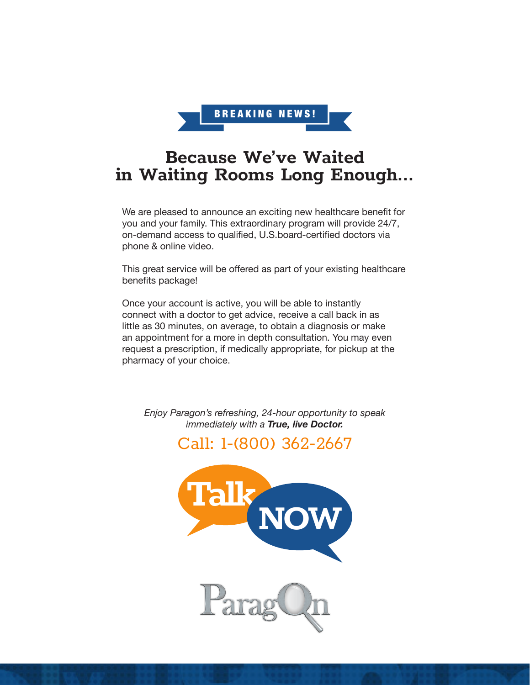

# Because We've Waited in Waiting Rooms Long Enough...

We are pleased to announce an exciting new healthcare benefit for you and your family. This extraordinary program will provide 24/7, on-demand access to qualified, U.S.board-certified doctors via phone & online video.

This great service will be offered as part of your existing healthcare benefits package!

Once your account is active, you will be able to instantly connect with a doctor to get advice, receive a call back in as little as 30 minutes, on average, to obtain a diagnosis or make an appointment for a more in depth consultation. You may even request a prescription, if medically appropriate, for pickup at the pharmacy of your choice.

*Enjoy Paragon's refreshing, 24-hour opportunity to speak immediately with a True, live Doctor.*

Call: 1-(800) 362-2667

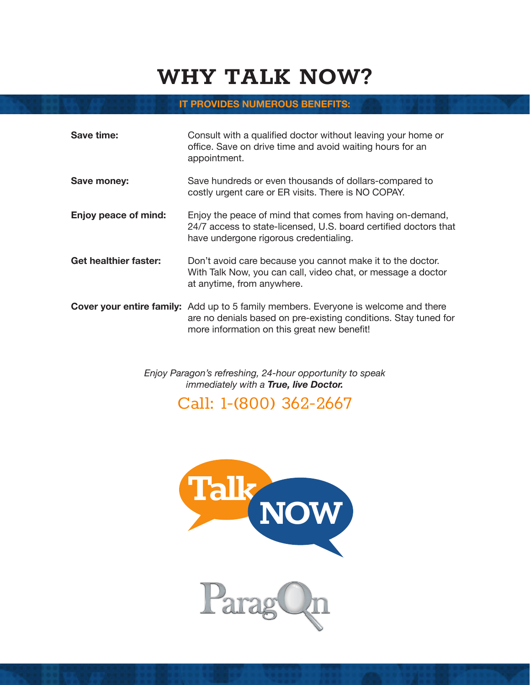# WHY TALK NOW?

#### **IT PROVIDES NUMEROUS BENEFITS:**

| Save time:                   | Consult with a qualified doctor without leaving your home or<br>office. Save on drive time and avoid waiting hours for an<br>appointment.                                                                    |
|------------------------------|--------------------------------------------------------------------------------------------------------------------------------------------------------------------------------------------------------------|
| Save money:                  | Save hundreds or even thousands of dollars-compared to<br>costly urgent care or ER visits. There is NO COPAY.                                                                                                |
| Enjoy peace of mind:         | Enjoy the peace of mind that comes from having on-demand,<br>24/7 access to state-licensed, U.S. board certified doctors that<br>have undergone rigorous credentialing.                                      |
| <b>Get healthier faster:</b> | Don't avoid care because you cannot make it to the doctor.<br>With Talk Now, you can call, video chat, or message a doctor<br>at anytime, from anywhere.                                                     |
|                              | <b>Cover your entire family:</b> Add up to 5 family members. Everyone is welcome and there<br>are no denials based on pre-existing conditions. Stay tuned for<br>more information on this great new benefit! |

*Enjoy Paragon's refreshing, 24-hour opportunity to speak immediately with a True, live Doctor.*

Call: 1-(800) 362-2667

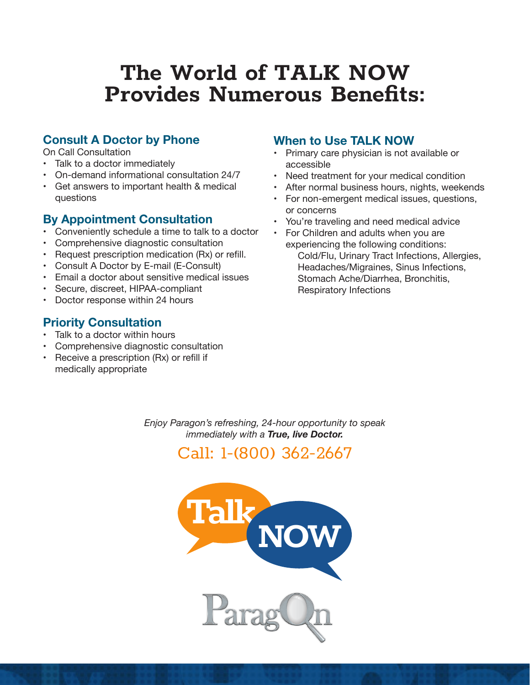# The World of TALK NOW Provides Numerous Benefits:

## **Consult A Doctor by Phone**

On Call Consultation

- Talk to a doctor immediately
- • On-demand informational consultation 24/7
- • Get answers to important health & medical questions

### **By Appointment Consultation**

- Conveniently schedule a time to talk to a doctor
- Comprehensive diagnostic consultation
- Request prescription medication (Rx) or refill.
- Consult A Doctor by E-mail (E-Consult)
- Email a doctor about sensitive medical issues
- Secure, discreet, HIPAA-compliant
- Doctor response within 24 hours

## **Priority Consultation**

- Talk to a doctor within hours
- • Comprehensive diagnostic consultation
- Receive a prescription (Rx) or refill if medically appropriate

### **When to Use TALK NOW**

- • Primary care physician is not available or accessible
- Need treatment for your medical condition
- After normal business hours, nights, weekends
- For non-emergent medical issues, questions, or concerns
- You're traveling and need medical advice
- For Children and adults when you are experiencing the following conditions: Cold/Flu, Urinary Tract Infections, Allergies, Headaches/Migraines, Sinus Infections, Stomach Ache/Diarrhea, Bronchitis, Respiratory Infections

*Enjoy Paragon's refreshing, 24-hour opportunity to speak immediately with a True, live Doctor.*



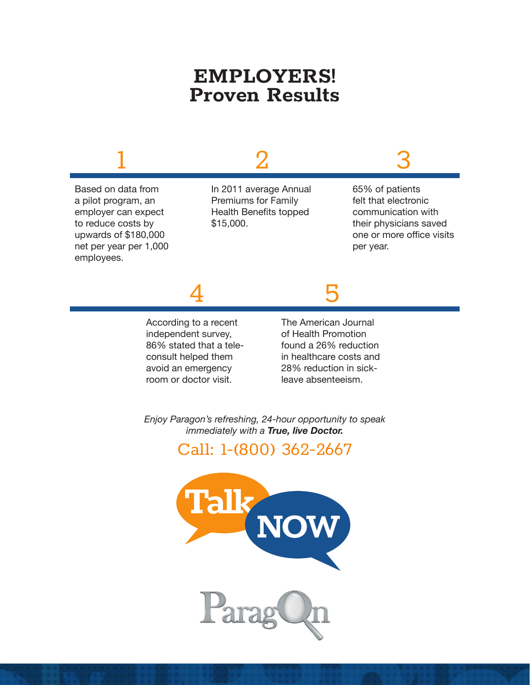# EMPLOYERS! Proven Results



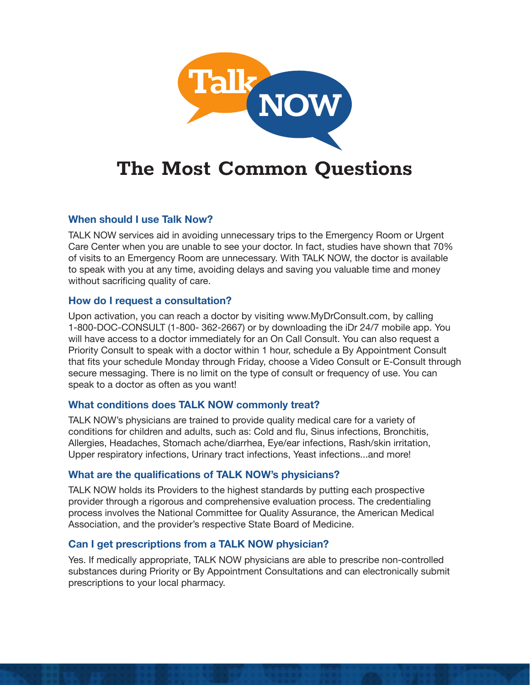

# The Most Common Questions

#### **When should I use Talk Now?**

TALK NOW services aid in avoiding unnecessary trips to the Emergency Room or Urgent Care Center when you are unable to see your doctor. In fact, studies have shown that 70% of visits to an Emergency Room are unnecessary. With TALK NOW, the doctor is available to speak with you at any time, avoiding delays and saving you valuable time and money without sacrificing quality of care.

#### **How do I request a consultation?**

Upon activation, you can reach a doctor by visiting www.MyDrConsult.com, by calling 1-800-DOC-CONSULT (1-800- 362-2667) or by downloading the iDr 24/7 mobile app. You will have access to a doctor immediately for an On Call Consult. You can also request a Priority Consult to speak with a doctor within 1 hour, schedule a By Appointment Consult that fits your schedule Monday through Friday, choose a Video Consult or E-Consult through secure messaging. There is no limit on the type of consult or frequency of use. You can speak to a doctor as often as you want!

#### **What conditions does TALK NOW commonly treat?**

TALK NOW's physicians are trained to provide quality medical care for a variety of conditions for children and adults, such as: Cold and flu, Sinus infections, Bronchitis, Allergies, Headaches, Stomach ache/diarrhea, Eye/ear infections, Rash/skin irritation, Upper respiratory infections, Urinary tract infections, Yeast infections...and more!

#### **What are the qualifications of TALK NOW's physicians?**

TALK NOW holds its Providers to the highest standards by putting each prospective provider through a rigorous and comprehensive evaluation process. The credentialing process involves the National Committee for Quality Assurance, the American Medical Association, and the provider's respective State Board of Medicine.

### **Can I get prescriptions from a TALK NOW physician?**

Yes. If medically appropriate, TALK NOW physicians are able to prescribe non-controlled substances during Priority or By Appointment Consultations and can electronically submit prescriptions to your local pharmacy.